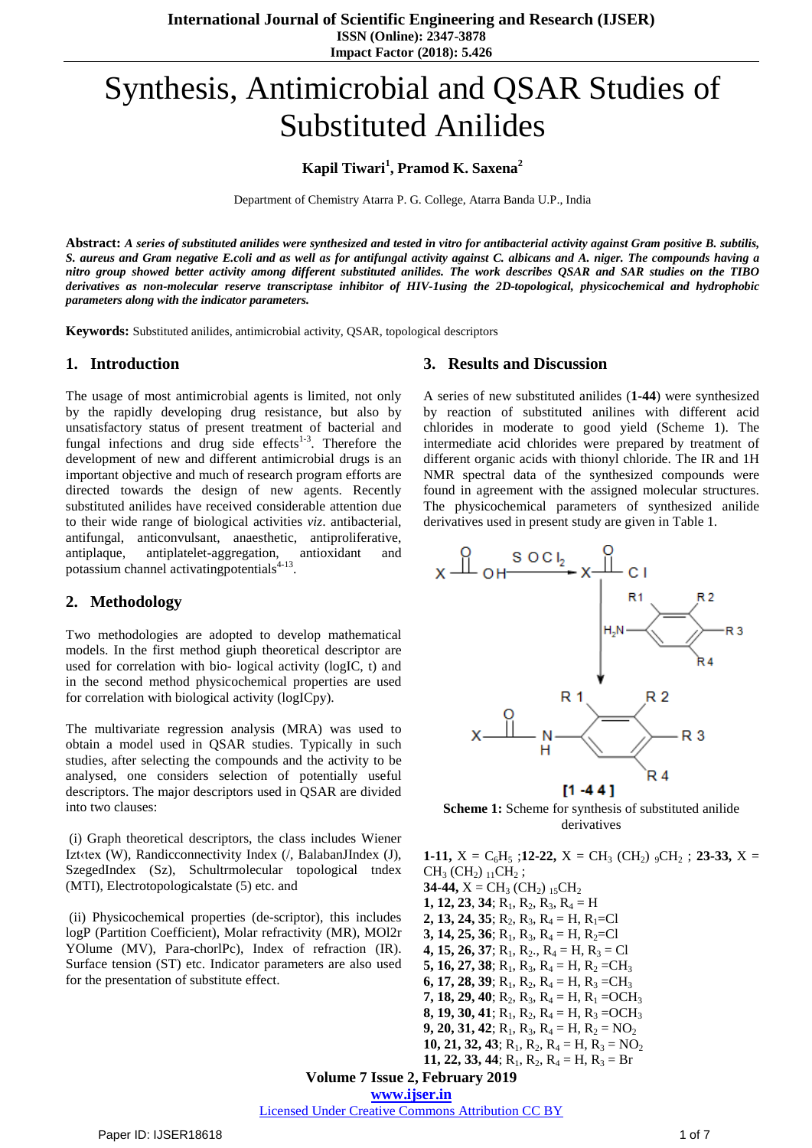**International Journal of Scientific Engineering and Research (IJSER) ISSN (Online): 2347-3878 Impact Factor (2018): 5.426**

# Synthesis, Antimicrobial and QSAR Studies of Substituted Anilides

**Kapil Tiwari<sup>1</sup> , Pramod K. Saxena<sup>2</sup>**

Department of Chemistry Atarra P. G. College, Atarra Banda U.P., India

Abstract: A series of substituted anilides were synthesized and tested in vitro for antibacterial activity against Gram positive B. subtilis, S. aureus and Gram negative E.coli and as well as for antifungal activity against C. albicans and A. niger. The compounds having a nitro group showed better activity among different substituted anilides. The work describes QSAR and SAR studies on the TIBO *derivatives as non-molecular reserve transcriptase inhibitor of HIV-1using the 2D-topological, physicochemical and hydrophobic parameters along with the indicator parameters.*

**Keywords:** Substituted anilides, antimicrobial activity, QSAR, topological descriptors

### **1. Introduction**

The usage of most antimicrobial agents is limited, not only by the rapidly developing drug resistance, but also by unsatisfactory status of present treatment of bacterial and fungal infections and drug side effects $1-3$ . Therefore the development of new and different antimicrobial drugs is an important objective and much of research program efforts are directed towards the design of new agents. Recently substituted anilides have received considerable attention due to their wide range of biological activities *viz*. antibacterial, antifungal, anticonvulsant, anaesthetic, antiproliferative, antiplaque, antiplatelet-aggregation, antioxidant and potassium channel activatingpotentials<sup>4-13</sup>.

## **2. Methodology**

Two methodologies are adopted to develop mathematical models. In the first method giuph theoretical descriptor are used for correlation with bio- logical activity (logIC, t) and in the second method physicochemical properties are used for correlation with biological activity (logICpy).

The multivariate regression analysis (MRA) was used to obtain a model used in QSAR studies. Typically in such studies, after selecting the compounds and the activity to be analysed, one considers selection of potentially useful descriptors. The major descriptors used in QSAR are divided into two clauses:

(i) Graph theoretical descriptors, the class includes Wiener Izt‹tex (W), Randicconnectivity Index (/, BalabanJIndex (J), SzegedIndex (Sz), Schultrmolecular topological tndex (MTI), Electrotopologicalstate (5) etc. and

(ii) Physicochemical properties (de-scriptor), this includes logP (Partition Coefficient), Molar refractivity (MR), MOl2r YOlume (MV), Para-chorlPc), Index of refraction (IR). Surface tension (ST) etc. Indicator parameters are also used for the presentation of substitute effect.

#### **3. Results and Discussion**

A series of new substituted anilides (**1-44**) were synthesized by reaction of substituted anilines with different acid chlorides in moderate to good yield (Scheme 1). The intermediate acid chlorides were prepared by treatment of different organic acids with thionyl chloride. The IR and 1H NMR spectral data of the synthesized compounds were found in agreement with the assigned molecular structures. The physicochemical parameters of synthesized anilide derivatives used in present study are given in Table 1.



**Scheme 1:** Scheme for synthesis of substituted anilide derivatives

**Volume 7 Issue 2, February 2019 www.ijser.in 1-11,**  $X = C_6H_5$ ; **12-22,**  $X = CH_3$  (CH<sub>2</sub>)  $_9CH_2$ ; **23-33,**  $X =$  $CH<sub>3</sub>$  (CH<sub>2</sub>)  $_{11}CH<sub>2</sub>$ ; **34-44,**  $X = CH_3 (CH_2)_{15} CH_2$ **1, 12, 23, 34;**  $R_1$ ,  $R_2$ ,  $R_3$ ,  $R_4$  = H **2, 13, 24, 35**;  $R_2$ ,  $R_3$ ,  $R_4 = H$ ,  $R_1 = Cl$ **3, 14, 25, 36;**  $R_1$ ,  $R_3$ ,  $R_4 = H$ ,  $R_2 = Cl$ **4, 15, 26, 37;**  $R_1$ ,  $R_2$ .,  $R_4 = H$ ,  $R_3 = Cl$ **5, 16, 27, 38**;  $R_1$ ,  $R_3$ ,  $R_4$  = H,  $R_2$  = CH<sub>3</sub> **6, 17, 28, 39**;  $R_1$ ,  $R_2$ ,  $R_4$  = H,  $R_3$  = CH<sub>3</sub> **7, 18, 29, 40**;  $R_2$ ,  $R_3$ ,  $R_4$  = H,  $R_1$  = OCH<sub>3</sub> **8, 19, 30, 41**;  $R_1$ ,  $R_2$ ,  $R_4$  = H,  $R_3$  = OCH<sub>3</sub> **9, 20, 31, 42;**  $R_1$ ,  $R_3$ ,  $R_4 = H$ ,  $R_2 = NO_2$ **10, 21, 32, 43**;  $R_1$ ,  $R_2$ ,  $R_4$  = H,  $R_3$  = NO<sub>2</sub> **11, 22, 33, 44**;  $R_1$ ,  $R_2$ ,  $R_4$  = H,  $R_3$  = Br

Licensed Under Creative Commons Attribution CC BY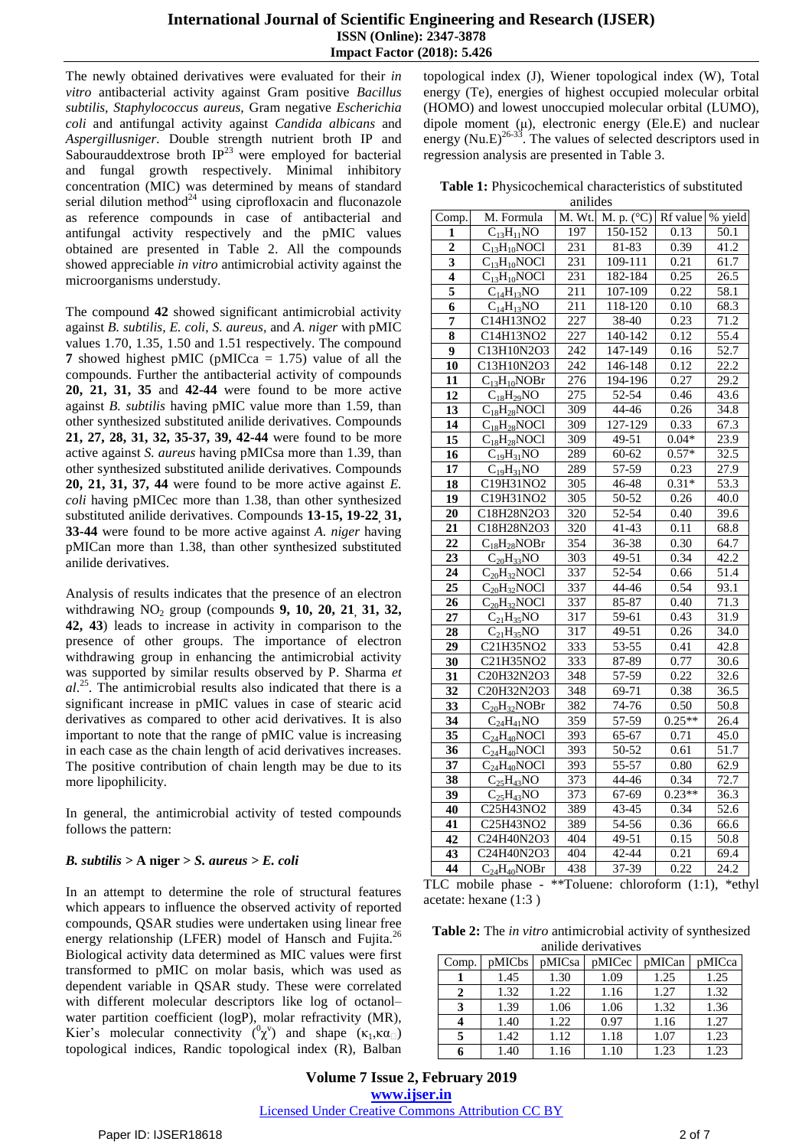## **International Journal of Scientific Engineering and Research (IJSER) ISSN (Online): 2347-3878 Impact Factor (2018): 5.426**

The newly obtained derivatives were evaluated for their *in vitro* antibacterial activity against Gram positive *Bacillus subtilis, Staphylococcus aureus,* Gram negative *Escherichia coli* and antifungal activity against *Candida albicans* and *Aspergillusniger.* Double strength nutrient broth IP and Sabourauddextrose broth  $IP^{23}$  were employed for bacterial and fungal growth respectively. Minimal inhibitory concentration (MIC) was determined by means of standard serial dilution method $^{24}$  using ciprofloxacin and fluconazole as reference compounds in case of antibacterial and antifungal activity respectively and the pMIC values obtained are presented in Table 2. All the compounds showed appreciable *in vitro* antimicrobial activity against the microorganisms understudy.

The compound **42** showed significant antimicrobial activity against *B. subtilis, E. coli, S. aureus,* and *A. niger* with pMIC values 1.70, 1.35, 1.50 and 1.51 respectively. The compound **7** showed highest pMIC (pMICca = 1.75) value of all the compounds. Further the antibacterial activity of compounds **20, 21, 31, 35** and **42-44** were found to be more active against *B. subtilis* having pMIC value more than 1.59, than other synthesized substituted anilide derivatives. Compounds **21, 27, 28, 31, 32, 35-37, 39, 42-44** were found to be more active against *S. aureus* having pMICsa more than 1.39, than other synthesized substituted anilide derivatives. Compounds **20, 21, 31, 37, 44** were found to be more active against *E. coli* having pMICec more than 1.38, than other synthesized substituted anilide derivatives. Compounds **13-15, 19-22, 31, 33-44** were found to be more active against *A. niger* having pMICan more than 1.38, than other synthesized substituted anilide derivatives.

Analysis of results indicates that the presence of an electron withdrawing NO<sup>2</sup> group (compounds **9, 10, 20, 21, 31, 32, 42, 43**) leads to increase in activity in comparison to the presence of other groups. The importance of electron withdrawing group in enhancing the antimicrobial activity was supported by similar results observed by P. Sharma *et al*. 25 . The antimicrobial results also indicated that there is a significant increase in pMIC values in case of stearic acid derivatives as compared to other acid derivatives. It is also important to note that the range of pMIC value is increasing in each case as the chain length of acid derivatives increases. The positive contribution of chain length may be due to its more lipophilicity.

In general, the antimicrobial activity of tested compounds follows the pattern:

# *B. subtilis >* **A niger >** *S. aureus > E. coli*

In an attempt to determine the role of structural features which appears to influence the observed activity of reported compounds, QSAR studies were undertaken using linear free energy relationship (LFER) model of Hansch and Fujita.<sup>26</sup> Biological activity data determined as MIC values were first transformed to pMIC on molar basis, which was used as dependent variable in QSAR study. These were correlated with different molecular descriptors like log of octanol– water partition coefficient (logP), molar refractivity (MR), Kier's molecular connectivity  $({}^0\chi^{\nu})$  and shape  $(\kappa_1,\kappa\alpha_{\square})$ topological indices, Randic topological index (R), Balban topological index (J), Wiener topological index (W), Total energy (Te), energies of highest occupied molecular orbital (HOMO) and lowest unoccupied molecular orbital (LUMO), dipole moment (μ), electronic energy (Ele.E) and nuclear energy (Nu.E)<sup>26-33</sup>. The values of selected descriptors used in regression analysis are presented in Table 3.

**Table 1:** Physicochemical characteristics of substituted anilides

| Comp. | M. Formula                    | M. Wt.           | M. p. $(^{\circ}C)$    | Rf value | % yield           |
|-------|-------------------------------|------------------|------------------------|----------|-------------------|
| 1     | $C_{13}H_{11}NO$              | 197              | 150-152                | 0.13     | 50.1              |
| 2     | $C_{13}H_{10}NOCl$            | 231              | 81-83                  | 0.39     | 41.2              |
| 3     | $\overline{C}_{13}H_{10}NOC1$ | 231              | 109-111                | 0.21     | 61.7              |
| 4     | $\overline{C_{13}}H_{10}NOC1$ | 231              | 182-184                | 0.25     | 26.5              |
| 5     | $C_{14}H_{13}NO$              | 211              | 107-109                | 0.22     | 58.1              |
| 6     | $C_{14}H_{13}NO$              | 211              | $\overline{1}18 - 120$ | 0.10     | 68.3              |
| 7     | C14H13NO2                     | 227              | 38-40                  | 0.23     | 71.2              |
| 8     | C14H13NO2                     | $\overline{227}$ | 140-142                | 0.12     | $\overline{55.4}$ |
| 9     | C13H10N2O3                    | 242              | 147-149                | 0.16     | 52.7              |
| 10    | C13H10N2O3                    | 242              | 146-148                | 0.12     | $\overline{22.2}$ |
| 11    | $C_{13}H_{10}NOBr$            | 276              | 194-196                | 0.27     | 29.2              |
| 12    | $C_{18}H_{29}NO$              | 275              | $52 - 54$              | 0.46     | 43.6              |
| 13    | $C_{18}H_{28}NOCl$            | 309              | 44-46                  | 0.26     | 34.8              |
| 14    | $C_{18}H_{28}NOCl$            | 309              | 127-129                | 0.33     | 67.3              |
| 15    | $C_{18}H_{28}NOCl$            | 309              | $49 - 51$              | $0.04*$  | 23.9              |
| 16    | $C_{19}H_{31}NO$              | 289              | $60 - 62$              | $0.57*$  | 32.5              |
| 17    | $C_{19}H_{31}NO$              | 289              | 57-59                  | 0.23     | 27.9              |
| 18    | C19H31NO2                     | 305              | 46-48                  | $0.31*$  | 53.3              |
| 19    | C19H31NO2                     | 305              | 50-52                  | 0.26     | 40.0              |
| 20    | C18H28N2O3                    | 320              | 52-54                  | 0.40     | 39.6              |
| 21    | C18H28N2O3                    | 320              | $41 - 43$              | 0.11     | 68.8              |
| 22    | $C_{18}H_{28}NORr$            | 354              | 36-38                  | 0.30     | 64.7              |
| 23    | $\overline{C_{20}H}_{33}NO$   | 303              | 49-51                  | 0.34     | 42.2              |
| 24    | $C_{20}H_{32}NOCl$            | 337              | 52-54                  | 0.66     | 51.4              |
| 25    | $C_{20}H_{32}NOCl$            | 337              | 44-46                  | 0.54     | 93.1              |
| 26    | $C_{20}H_{32}NOCl$            | 337              | $85 - 87$              | 0.40     | 71.3              |
| 27    | $C_{21}H_{35}NO$              | 317              | 59-61                  | 0.43     | 31.9              |
| 28    | $C_{21}H_{35}NO$              | 317              | 49-51                  | 0.26     | 34.0              |
| 29    | C21H35NO2                     | 333              | 53-55                  | 0.41     | 42.8              |
| 30    | C21H35NO2                     | 333              | 87-89                  | 0.77     | 30.6              |
| 31    | C20H32N2O3                    | 348              | 57-59                  | 0.22     | 32.6              |
| 32    | C20H32N2O3                    | 348              | 69-71                  | 0.38     | 36.5              |
| 33    | $C_{20}H_{32}NOBr$            | 382              | 74-76                  | 0.50     | 50.8              |
| 34    | $C_{24}H_{41}NO$              | 359              | 57-59                  | $0.25**$ | 26.4              |
| 35    | $\overline{C}_{24}H_{40}NOC1$ | 393              | 65-67                  | 0.71     | 45.0              |
| 36    | $C_{24}H_{40}NOCl$            | 393              | 50-52                  | 0.61     | 51.7              |
| 37    | $C_{24}H_{40}NOCl$            | 393              | 55-57                  | 0.80     | 62.9              |
| 38    | $C_{25}H_{43}NO$              | 373              | 44-46                  | 0.34     | 72.7              |
| 39    | $C_{25}H_{43}NO$              | 373              | 67-69                  | $0.23**$ | 36.3              |
| 40    | C25H43NO2                     | 389              | 43-45                  | 0.34     | 52.6              |
| 41    | C25H43NO2                     | 389              | 54-56                  | 0.36     | 66.6              |
| 42    | C24H40N2O3                    | 404              | 49-51                  | 0.15     | 50.8              |
| 43    | C24H40N2O3                    | 404              | 42-44                  | 0.21     | 69.4              |
| 44    | $C_{24}H_{40}NORr$            | 438              | 37-39                  | 0.22     | 24.2              |

TLC mobile phase - \*\*Toluene: chloroform (1:1), \*ethyl acetate: hexane (1:3 )

**Table 2:** The *in vitro* antimicrobial activity of synthesized anilide derivatives

| Comp. | pMICbs | pMICsa | pMICec | pMICan | pMICca |
|-------|--------|--------|--------|--------|--------|
|       | 1.45   | 1.30   | 1.09   | 1.25   | 1.25   |
| 2     | 1.32   | 1.22   | 1.16   | 1.27   | 1.32   |
| 3     | 1.39   | 1.06   | 1.06   | 1.32   | 1.36   |
|       | 1.40   | 1.22   | 0.97   | 1.16   | 1.27   |
|       | 1.42   | 1.12   | 1.18   | 1.07   | 1.23   |
|       | 1.40   | 1.16   | 1.10   | 1.23   | 1.23   |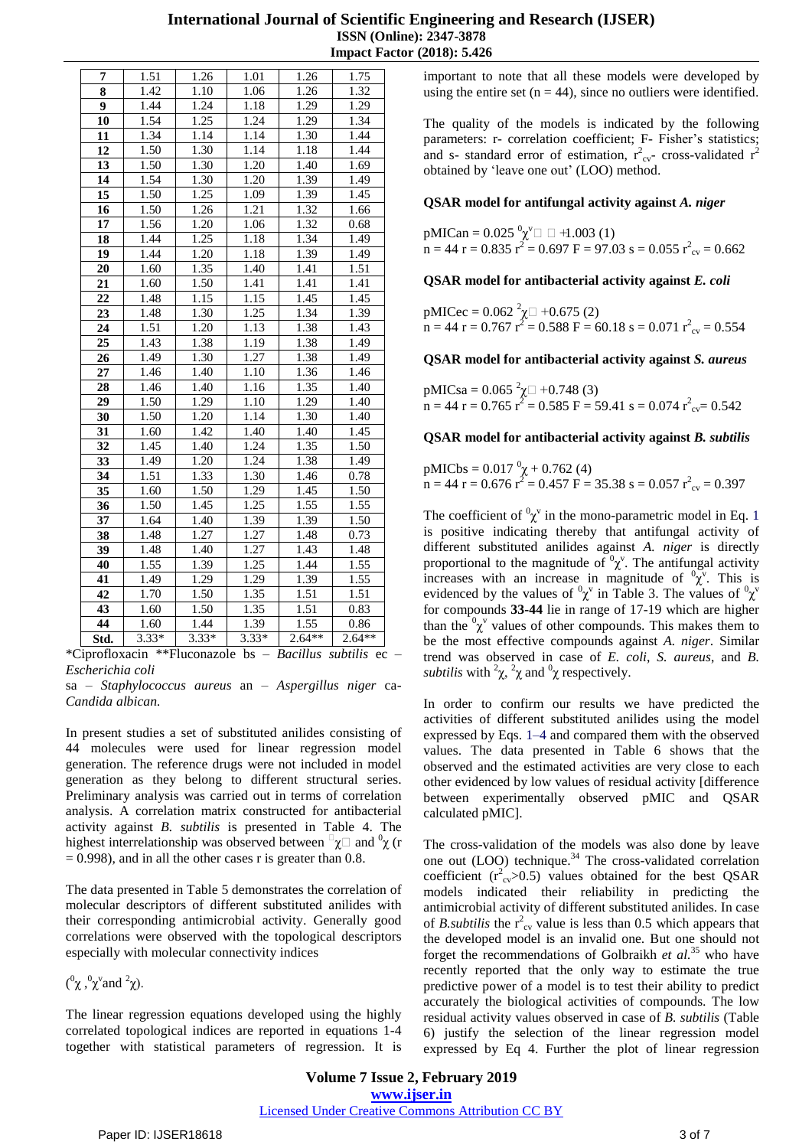| <b>International Journal of Scientific Engineering and Research (IJSER)</b> |  |
|-----------------------------------------------------------------------------|--|
| <b>ISSN</b> (Online): 2347-3878                                             |  |
| <b>Impact Factor (2018): 5.426</b>                                          |  |

| 1.51    | 1.26                 | 1.01                 | 1.26                                                                      | 1.75                                                                         |
|---------|----------------------|----------------------|---------------------------------------------------------------------------|------------------------------------------------------------------------------|
| 1.42    | 1.10                 | 1.06                 | 1.26                                                                      | 1.32                                                                         |
| 1.44    | 1.24                 | 1.18                 | 1.29                                                                      | 1.29                                                                         |
| 1.54    | 1.25                 | 1.24                 | 1.29                                                                      | 1.34                                                                         |
| 1.34    | 1.14                 | 1.14                 | 1.30                                                                      | 1.44                                                                         |
| 1.50    | 1.30                 | 1.14                 | 1.18                                                                      | 1.44                                                                         |
| 1.50    | 1.30                 | 1.20                 | 1.40                                                                      | 1.69                                                                         |
| 1.54    | 1.30                 | 1.20                 | 1.39                                                                      | 1.49                                                                         |
| 1.50    | 1.25                 | 1.09                 | 1.39                                                                      | 1.45                                                                         |
| 1.50    | 1.26                 | 1.21                 | 1.32                                                                      | 1.66                                                                         |
| 1.56    | 1.20                 | 1.06                 | 1.32                                                                      | 0.68                                                                         |
| 1.44    | 1.25                 | 1.18                 | 1.34                                                                      | 1.49                                                                         |
| 1.44    | 1.20                 | 1.18                 | 1.39                                                                      | 1.49                                                                         |
| 1.60    | 1.35                 | 1.40                 | 1.41                                                                      | 1.51                                                                         |
| 1.60    | 1.50                 | 1.41                 | 1.41                                                                      | 1.41                                                                         |
| 1.48    | 1.15                 | 1.15                 | 1.45                                                                      | 1.45                                                                         |
| 1.48    | 1.30                 |                      | 1.34                                                                      | 1.39                                                                         |
| 1.51    | 1.20                 | 1.13                 | 1.38                                                                      | 1.43                                                                         |
| 1.43    | 1.38                 | 1.19                 | 1.38                                                                      | 1.49                                                                         |
| 1.49    | 1.30                 | 1.27                 | 1.38                                                                      | 1.49                                                                         |
| 1.46    | 1.40                 | 1.10                 |                                                                           | 1.46                                                                         |
| 1.46    | 1.40                 | 1.16                 | 1.35                                                                      | 1.40                                                                         |
|         |                      | 1.10                 |                                                                           | 1.40                                                                         |
|         |                      |                      |                                                                           | 1.40                                                                         |
| 1.60    | 1.42                 |                      |                                                                           | 1.45                                                                         |
| 1.45    | 1.40                 | 1.24                 |                                                                           | 1.50                                                                         |
| 1.49    | 1.20                 |                      |                                                                           | 1.49                                                                         |
| 1.51    | 1.33                 |                      |                                                                           | 0.78                                                                         |
| 1.60    | 1.50                 | 1.29                 | 1.45                                                                      | 1.50                                                                         |
| 1.50    | 1.45                 |                      |                                                                           | 1.55                                                                         |
| 1.64    | 1.40                 | 1.39                 | 1.39                                                                      | 1.50                                                                         |
| 1.48    | 1.27                 | 1.27                 | 1.48                                                                      | 0.73                                                                         |
|         |                      |                      |                                                                           | 1.48                                                                         |
| 1.55    | 1.39                 |                      |                                                                           | 1.55                                                                         |
| 1.49    | 1.29                 | 1.29                 | 1.39                                                                      | 1.55                                                                         |
| 1.70    | 1.50                 | 1.35                 | 1.51                                                                      | 1.51                                                                         |
| 1.60    | 1.50                 | 1.35                 | 1.51                                                                      | 0.83                                                                         |
| 1.60    | 1.44                 | 1.39                 | 1.55                                                                      | 0.86                                                                         |
| $3.33*$ | $3.33*$              | $3.33*$              | $2.64**$                                                                  | $2.64**$                                                                     |
|         | 1.50<br>1.50<br>1.48 | 1.29<br>1.20<br>1.40 | $\overline{1.25}$<br>1.14<br>1.40<br>1.24<br>1.30<br>1.25<br>1.27<br>1.25 | 1.36<br>1.29<br>1.30<br>1.40<br>1.35<br>1.38<br>1.46<br>1.55<br>1.43<br>1.44 |

\*Ciprofloxacin \*\*Fluconazole bs – *Bacillus subtilis* ec – *Escherichia coli*

sa – *Staphylococcus aureus* an – *Aspergillus niger* ca-*Candida albican.*

In present studies a set of substituted anilides consisting of 44 molecules were used for linear regression model generation. The reference drugs were not included in model generation as they belong to different structural series. Preliminary analysis was carried out in terms of correlation analysis. A correlation matrix constructed for antibacterial activity against *B. subtilis* is presented in Table 4. The highest interrelationship was observed between  $\Box \chi \Box$  and  $\partial \chi$  (r  $= 0.998$ , and in all the other cases r is greater than 0.8.

The data presented in Table 5 demonstrates the correlation of molecular descriptors of different substituted anilides with their corresponding antimicrobial activity. Generally good correlations were observed with the topological descriptors especially with molecular connectivity indices

 $(^0\chi,^0\chi^v$ and <sup>2</sup>χ).

The linear regression equations developed using the highly correlated topological indices are reported in equations 1-4 together with statistical parameters of regression. It is important to note that all these models were developed by using the entire set  $(n = 44)$ , since no outliers were identified.

The quality of the models is indicated by the following parameters: r- correlation coefficient; F- Fisher's statistics; and s- standard error of estimation,  $r_{cv}^2$  cross-validated  $r^2$ obtained by 'leave one out' (LOO) method.

## **QSAR model for antifungal activity against** *A. niger*

 $pMICan = 0.025 \frac{0}{\chi}$ <sup>0</sup> $\Box$   $\Box$  +1.003 (1)  $n = 44$  r = 0.835 r<sup>2</sup> = 0.697 F = 97.03 s = 0.055 r<sup>2</sup><sub>cv</sub> = 0.662

**QSAR model for antibacterial activity against** *E. coli*

pMICec =  $0.062^{2} \chi \Box + 0.675$  (2)  $n = 44$  r = 0.767  $r^2 = 0.588$  F = 60.18 s = 0.071  $r^2_{\text{cv}} = 0.554$ 

### **QSAR model for antibacterial activity against** *S. aureus*

pMICsa =  $0.065^{2} \chi \Box + 0.748$  (3)  $n = 44$  r = 0.765  $r^2 = 0.585$  F = 59.41 s = 0.074  $r^2_{\text{cv}} = 0.542$ 

**QSAR model for antibacterial activity against** *B. subtilis*

pMICbs =  $0.017 \frac{\text{o}}{\chi} + 0.762$  (4)  $n = 44$  r = 0.676 r<sup>2</sup> = 0.457 F = 35.38 s = 0.057 r<sup>2</sup><sub>cv</sub> = 0.397

The coefficient of  ${}^{0}\chi^{\nu}$  in the mono-parametric model in Eq. 1 is positive indicating thereby that antifungal activity of different substituted anilides against *A. niger* is directly proportional to the magnitude of  ${}^{0}\chi^{\vee}$ . The antifungal activity increases with an increase in magnitude of  $\overline{v_x}$ . This is evidenced by the values of  ${}^{0}\chi^{\nu}$  in Table 3. The values of  ${}^{0}\chi^{\nu}$ for compounds **33-44** lie in range of 17-19 which are higher than the  ${}^{0}\chi^{v}$  values of other compounds. This makes them to be the most effective compounds against *A. niger*. Similar trend was observed in case of *E. coli*, *S. aureus*, and *B. subtilis* with  ${}^2\chi$ ,  ${}^2\chi$  and  ${}^0\chi$  respectively.

In order to confirm our results we have predicted the activities of different substituted anilides using the model expressed by Eqs. 1–4 and compared them with the observed values. The data presented in Table 6 shows that the observed and the estimated activities are very close to each other evidenced by low values of residual activity [difference between experimentally observed pMIC and QSAR calculated pMIC].

The cross-validation of the models was also done by leave one out (LOO) technique.<sup>34</sup> The cross-validated correlation coefficient  $(r_{cv}^2>0.5)$  values obtained for the best QSAR models indicated their reliability in predicting the antimicrobial activity of different substituted anilides. In case of *B. subtilis* the  $r^2_{\text{cv}}$  value is less than 0.5 which appears that the developed model is an invalid one. But one should not forget the recommendations of Golbraikh *et al.*<sup>35</sup> who have recently reported that the only way to estimate the true predictive power of a model is to test their ability to predict accurately the biological activities of compounds. The low residual activity values observed in case of *B. subtilis* (Table 6) justify the selection of the linear regression model expressed by Eq 4. Further the plot of linear regression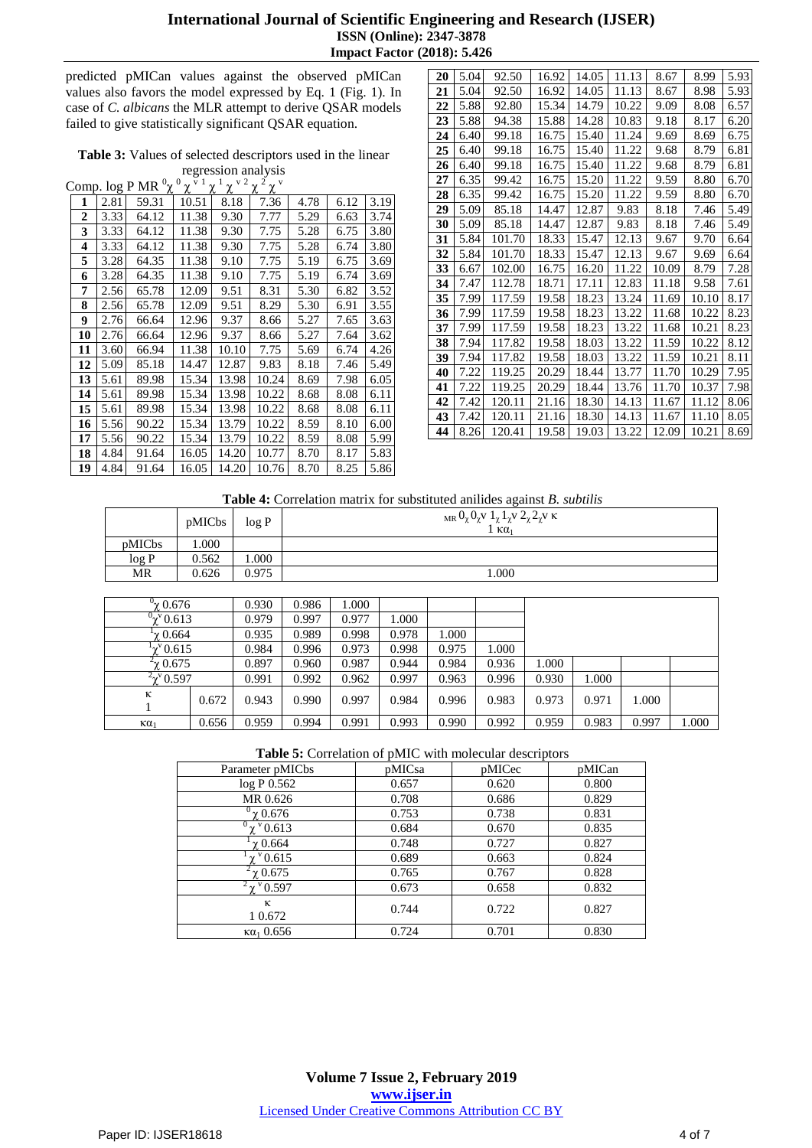## **International Journal of Scientific Engineering and Research (IJSER) ISSN (Online): 2347-3878 Impact Factor (2018): 5.426**

predicted pMICan values against the observed pMICan values also favors the model expressed by Eq. 1 (Fig. 1). In case of *C. albicans* the MLR attempt to derive QSAR models failed to give statistically significant QSAR equation.

|  | Table 3: Values of selected descriptors used in the linear |  |  |
|--|------------------------------------------------------------|--|--|
|  | regression analysis                                        |  |  |

Comp. log P MR  $^{0}\chi$   $^{0}\chi$   $\bar{v}$   $^{1}\chi$   $^{1}\chi$   $^{v}$   $^{2}\chi$   $^{2}\chi$   $\bar{v}$ 

|    |      | $\text{conv.}$ $\mathbb{R}$ is $\mathbb{R}$<br>λ | λ     | λ     | λ<br>λ |      |      |      |
|----|------|--------------------------------------------------|-------|-------|--------|------|------|------|
| 1  | 2.81 | 59.31                                            | 10.51 | 8.18  | 7.36   | 4.78 | 6.12 | 3.19 |
| 2  | 3.33 | 64.12                                            | 11.38 | 9.30  | 7.77   | 5.29 | 6.63 | 3.74 |
| 3  | 3.33 | 64.12                                            | 11.38 | 9.30  | 7.75   | 5.28 | 6.75 | 3.80 |
| 4  | 3.33 | 64.12                                            | 11.38 | 9.30  | 7.75   | 5.28 | 6.74 | 3.80 |
| 5  | 3.28 | 64.35                                            | 11.38 | 9.10  | 7.75   | 5.19 | 6.75 | 3.69 |
| 6  | 3.28 | 64.35                                            | 11.38 | 9.10  | 7.75   | 5.19 | 6.74 | 3.69 |
| 7  | 2.56 | 65.78                                            | 12.09 | 9.51  | 8.31   | 5.30 | 6.82 | 3.52 |
| 8  | 2.56 | 65.78                                            | 12.09 | 9.51  | 8.29   | 5.30 | 6.91 | 3.55 |
| 9  | 2.76 | 66.64                                            | 12.96 | 9.37  | 8.66   | 5.27 | 7.65 | 3.63 |
| 10 | 2.76 | 66.64                                            | 12.96 | 9.37  | 8.66   | 5.27 | 7.64 | 3.62 |
| 11 | 3.60 | 66.94                                            | 11.38 | 10.10 | 7.75   | 5.69 | 6.74 | 4.26 |
| 12 | 5.09 | 85.18                                            | 14.47 | 12.87 | 9.83   | 8.18 | 7.46 | 5.49 |
| 13 | 5.61 | 89.98                                            | 15.34 | 13.98 | 10.24  | 8.69 | 7.98 | 6.05 |
| 14 | 5.61 | 89.98                                            | 15.34 | 13.98 | 10.22  | 8.68 | 8.08 | 6.11 |
| 15 | 5.61 | 89.98                                            | 15.34 | 13.98 | 10.22  | 8.68 | 8.08 | 6.11 |
| 16 | 5.56 | 90.22                                            | 15.34 | 13.79 | 10.22  | 8.59 | 8.10 | 6.00 |
| 17 | 5.56 | 90.22                                            | 15.34 | 13.79 | 10.22  | 8.59 | 8.08 | 5.99 |
| 18 | 4.84 | 91.64                                            | 16.05 | 14.20 | 10.77  | 8.70 | 8.17 | 5.83 |
| 19 | 4.84 | 91.64                                            | 16.05 | 14.20 | 10.76  | 8.70 | 8.25 | 5.86 |

| 20 | 5.04 | 92.50  | 16.92 | 14.05 | 11.13 | 8.67  | 8.99  | 5.93 |
|----|------|--------|-------|-------|-------|-------|-------|------|
| 21 | 5.04 | 92.50  | 16.92 | 14.05 | 11.13 | 8.67  | 8.98  | 5.93 |
| 22 | 5.88 | 92.80  | 15.34 | 14.79 | 10.22 | 9.09  | 8.08  | 6.57 |
| 23 | 5.88 | 94.38  | 15.88 | 14.28 | 10.83 | 9.18  | 8.17  | 6.20 |
| 24 | 6.40 | 99.18  | 16.75 | 15.40 | 11.24 | 9.69  | 8.69  | 6.75 |
| 25 | 6.40 | 99.18  | 16.75 | 15.40 | 11.22 | 9.68  | 8.79  | 6.81 |
| 26 | 6.40 | 99.18  | 16.75 | 15.40 | 11.22 | 9.68  | 8.79  | 6.81 |
| 27 | 6.35 | 99.42  | 16.75 | 15.20 | 11.22 | 9.59  | 8.80  | 6.70 |
| 28 | 6.35 | 99.42  | 16.75 | 15.20 | 11.22 | 9.59  | 8.80  | 6.70 |
| 29 | 5.09 | 85.18  | 14.47 | 12.87 | 9.83  | 8.18  | 7.46  | 5.49 |
| 30 | 5.09 | 85.18  | 14.47 | 12.87 | 9.83  | 8.18  | 7.46  | 5.49 |
| 31 | 5.84 | 101.70 | 18.33 | 15.47 | 12.13 | 9.67  | 9.70  | 6.64 |
| 32 | 5.84 | 101.70 | 18.33 | 15.47 | 12.13 | 9.67  | 9.69  | 6.64 |
| 33 | 6.67 | 102.00 | 16.75 | 16.20 | 11.22 | 10.09 | 8.79  | 7.28 |
| 34 | 7.47 | 112.78 | 18.71 | 17.11 | 12.83 | 11.18 | 9.58  | 7.61 |
| 35 | 7.99 | 117.59 | 19.58 | 18.23 | 13.24 | 11.69 | 10.10 | 8.17 |
| 36 | 7.99 | 117.59 | 19.58 | 18.23 | 13.22 | 11.68 | 10.22 | 8.23 |
| 37 | 7.99 | 117.59 | 19.58 | 18.23 | 13.22 | 11.68 | 10.21 | 8.23 |
| 38 | 7.94 | 117.82 | 19.58 | 18.03 | 13.22 | 11.59 | 10.22 | 8.12 |
| 39 | 7.94 | 117.82 | 19.58 | 18.03 | 13.22 | 11.59 | 10.21 | 8.11 |
| 40 | 7.22 | 119.25 | 20.29 | 18.44 | 13.77 | 11.70 | 10.29 | 7.95 |
| 41 | 7.22 | 119.25 | 20.29 | 18.44 | 13.76 | 11.70 | 10.37 | 7.98 |
| 42 | 7.42 | 120.11 | 21.16 | 18.30 | 14.13 | 11.67 | 11.12 | 8.06 |
| 43 | 7.42 | 120.11 | 21.16 | 18.30 | 14.13 | 11.67 | 11.10 | 8.05 |
| 44 | 8.26 | 120.41 | 19.58 | 19.03 | 13.22 | 12.09 | 10.21 | 8.69 |

**Table 4:** Correlation matrix for substituted anilides against *B. subtilis*

|        | pMICbs | log P    | $_{\text{MR}} 0_{\chi} 0_{\chi}$ v $1_{\chi} 1_{\chi}$ v $2_{\chi} 2_{\chi}$ v k<br>$1 KQ_1$ |
|--------|--------|----------|----------------------------------------------------------------------------------------------|
| pMICbs | 000.1  |          |                                                                                              |
| log P  | 0.562  | $.000$ . |                                                                                              |
| MR     | 0.626  | 0.975    | .000.                                                                                        |

| $^{\prime}$ γ $0.676$       |       | 0.930 | 0.986 | 1.000 |       |       |       |       |       |       |       |
|-----------------------------|-------|-------|-------|-------|-------|-------|-------|-------|-------|-------|-------|
| $^{0}$ x <sup>v</sup> 0.613 |       | 0.979 | 0.997 | 0.977 | 1.000 |       |       |       |       |       |       |
| $1$ y 0.664                 |       | 0.935 | 0.989 | 0.998 | 0.978 | 1.000 |       |       |       |       |       |
| $\chi^{v}$ 0.615            |       | 0.984 | 0.996 | 0.973 | 0.998 | 0.975 | 1.000 |       |       |       |       |
| $4$ Ω.675                   |       | 0.897 | 0.960 | 0.987 | 0.944 | 0.984 | 0.936 | 1.000 |       |       |       |
| $2\chi$ <sup>v</sup> 0.597  |       | 0.991 | 0.992 | 0.962 | 0.997 | 0.963 | 0.996 | 0.930 | 1.000 |       |       |
| κ                           | 0.672 | 0.943 | 0.990 | 0.997 | 0.984 | 0.996 | 0.983 | 0.973 | 0.971 | 1.000 |       |
| $\kappa\alpha_1$            | 0.656 | 0.959 | 0.994 | 0.991 | 0.993 | 0.990 | 0.992 | 0.959 | 0.983 | 0.997 | 000.1 |

### **Table 5:** Correlation of pMIC with molecular descriptors

| Parameter pMICbs            | pMICsa | pMICec | pMICan |
|-----------------------------|--------|--------|--------|
| log P 0.562                 | 0.657  | 0.620  | 0.800  |
| MR 0.626                    | 0.708  | 0.686  | 0.829  |
| $\gamma$ 0.676              | 0.753  | 0.738  | 0.831  |
| $\gamma$ <sup>v</sup> 0.613 | 0.684  | 0.670  | 0.835  |
| $\gamma$ 0.664              | 0.748  | 0.727  | 0.827  |
| $^{\rm v}$ 0.615            | 0.689  | 0.663  | 0.824  |
| $\gamma$ 0.675              | 0.765  | 0.767  | 0.828  |
| $\gamma$ $^{\rm v}$ 0.597   | 0.673  | 0.658  | 0.832  |
| к<br>1 0.672                | 0.744  | 0.722  | 0.827  |
| $\kappa a_1 0.656$          | 0.724  | 0.701  | 0.830  |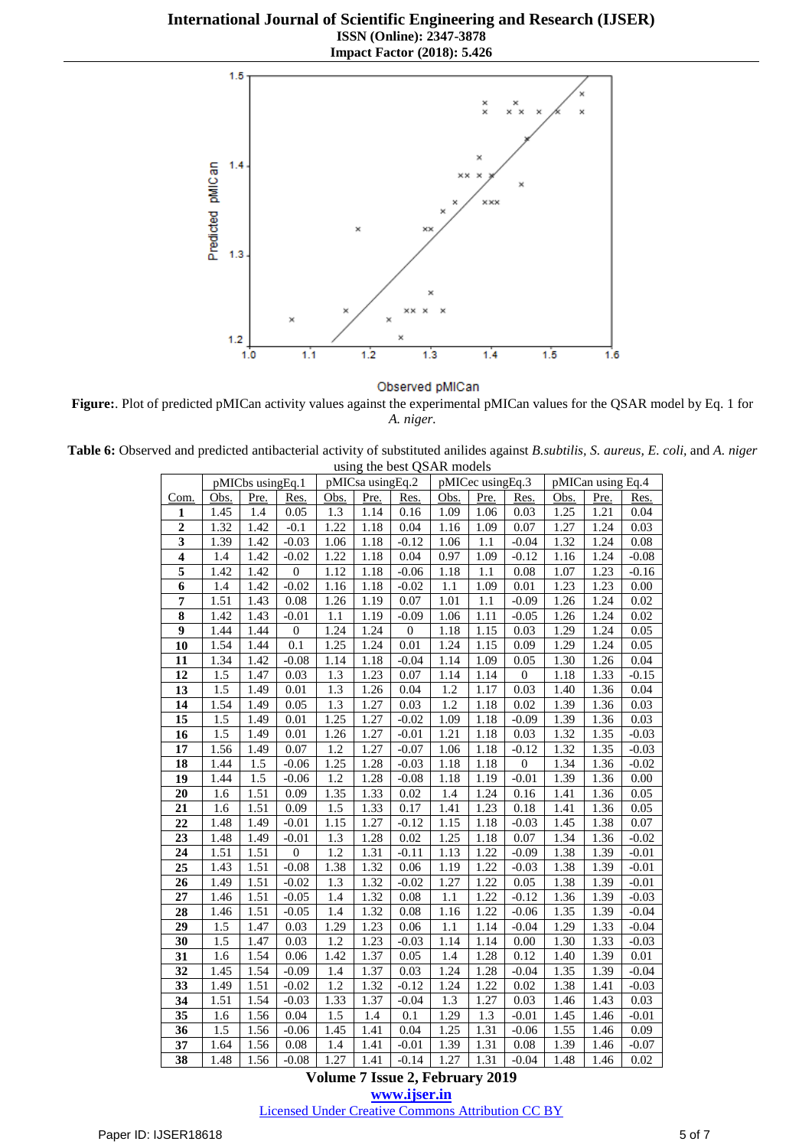**International Journal of Scientific Engineering and Research (IJSER) ISSN (Online): 2347-3878 Impact Factor (2018): 5.426**



Observed pMICan

**Figure:**. Plot of predicted pMICan activity values against the experimental pMICan values for the QSAR model by Eq. 1 for *A. niger.*

**Table 6:** Observed and predicted antibacterial activity of substituted anilides against *B.subtilis, S. aureus, E. coli,* and *A. niger* using the best QSAR models

|                         |                  | pMICbs usingEq.1 |                  |                  | pMICsa usingEq.2  |                  | pMICec usingEq.3  |      |                  | pMICan using Eq.4 |      |          |
|-------------------------|------------------|------------------|------------------|------------------|-------------------|------------------|-------------------|------|------------------|-------------------|------|----------|
| Com.                    | Obs.             | Pre.             | Res.             | Obs.             | Pre.              | Res.             | Obs.              | Pre. | Res.             | Obs.              | Pre. | Res.     |
| $\mathbf{1}$            | 1.45             | 1.4              | 0.05             | 1.3              | 1.14              | 0.16             | 1.09              | 1.06 | 0.03             | 1.25              | 1.21 | 0.04     |
| $\overline{2}$          | 1.32             | 1.42             | $-0.1$           | 1.22             | 1.18              | 0.04             | 1.16              | 1.09 | 0.07             | 1.27              | 1.24 | 0.03     |
| $\overline{\mathbf{3}}$ | 1.39             | 1.42             | $-0.03$          | 1.06             | 1.18              | $-0.12$          | 1.06              | 1.1  | $-0.04$          | 1.32              | 1.24 | 0.08     |
| $\overline{\mathbf{4}}$ | 1.4              | 1.42             | $-0.02$          | 1.22             | 1.18              | 0.04             | 0.97              | 1.09 | $-0.12$          | 1.16              | 1.24 | $-0.08$  |
| 5                       | 1.42             | 1.42             | $\boldsymbol{0}$ | 1.12             | 1.18              | $-0.06$          | 1.18              | 1.1  | 0.08             | 1.07              | 1.23 | $-0.16$  |
| $\overline{6}$          | 1.4              | 1.42             | $-0.02$          | 1.16             | 1.18              | $-0.02$          | 1.1               | 1.09 | 0.01             | 1.23              | 1.23 | 0.00     |
| $\overline{7}$          | 1.51             | 1.43             | 0.08             | 1.26             | 1.19              | 0.07             | 1.01              | 1.1  | $-0.09$          | 1.26              | 1.24 | 0.02     |
| 8                       | 1.42             | 1.43             | $-0.01$          | 1.1              | 1.19              | $-0.09$          | 1.06              | 1.11 | $-0.05$          | 1.26              | 1.24 | 0.02     |
| $\overline{9}$          | 1.44             | 1.44             | $\boldsymbol{0}$ | 1.24             | $\overline{1.24}$ | $\boldsymbol{0}$ | 1.18              | 1.15 | 0.03             | 1.29              | 1.24 | 0.05     |
| 10                      | 1.54             | 1.44             | 0.1              | 1.25             | 1.24              | 0.01             | 1.24              | 1.15 | 0.09             | 1.29              | 1.24 | 0.05     |
| 11                      | 1.34             | 1.42             | $-0.08$          | 1.14             | 1.18              | $-0.04$          | 1.14              | 1.09 | 0.05             | 1.30              | 1.26 | 0.04     |
| 12                      | 1.5              | 1.47             | 0.03             | 1.3              | 1.23              | 0.07             | 1.14              | 1.14 | 0                | 1.18              | 1.33 | $-0.15$  |
| 13                      | 1.5              | 1.49             | 0.01             | 1.3              | 1.26              | 0.04             | 1.2               | 1.17 | 0.03             | 1.40              | 1.36 | 0.04     |
| 14                      | 1.54             | 1.49             | 0.05             | 1.3              | 1.27              | 0.03             | 1.2               | 1.18 | 0.02             | 1.39              | 1.36 | 0.03     |
| 15                      | $\overline{1.5}$ | 1.49             | 0.01             | 1.25             | 1.27              | $-0.02$          | 1.09              | 1.18 | $-0.09$          | 1.39              | 1.36 | 0.03     |
| 16                      | 1.5              | 1.49             | 0.01             | 1.26             | 1.27              | $-0.01$          | 1.21              | 1.18 | 0.03             | 1.32              | 1.35 | $-0.03$  |
| 17                      | 1.56             | 1.49             | 0.07             | $\overline{1.2}$ | 1.27              | $-0.07$          | 1.06              | 1.18 | $-0.12$          | 1.32              | 1.35 | $-0.03$  |
| 18                      | 1.44             | 1.5              | $-0.06$          | 1.25             | 1.28              | $-0.03$          | 1.18              | 1.18 | $\boldsymbol{0}$ | 1.34              | 1.36 | $-0.02$  |
| 19                      | 1.44             | $\overline{1.5}$ | $-0.06$          | $\overline{1.2}$ | 1.28              | $-0.08$          | 1.18              | 1.19 | $-0.01$          | 1.39              | 1.36 | $0.00\,$ |
| 20                      | 1.6              | 1.51             | 0.09             | 1.35             | 1.33              | 0.02             | 1.4               | 1.24 | 0.16             | 1.41              | 1.36 | 0.05     |
| 21                      | 1.6              | 1.51             | 0.09             | 1.5              | 1.33              | 0.17             | 1.41              | 1.23 | 0.18             | 1.41              | 1.36 | 0.05     |
| 22                      | 1.48             | 1.49             | $-0.01$          | 1.15             | 1.27              | $-0.12$          | 1.15              | 1.18 | $-0.03$          | 1.45              | 1.38 | 0.07     |
| 23                      | 1.48             | 1.49             | $-0.01$          | 1.3              | 1.28              | 0.02             | 1.25              | 1.18 | 0.07             | 1.34              | 1.36 | $-0.02$  |
| 24                      | 1.51             | 1.51             | $\boldsymbol{0}$ | 1.2              | 1.31              | $-0.11$          | 1.13              | 1.22 | $-0.09$          | 1.38              | 1.39 | $-0.01$  |
| 25                      | 1.43             | 1.51             | $-0.08$          | 1.38             | 1.32              | 0.06             | 1.19              | 1.22 | $-0.03$          | 1.38              | 1.39 | $-0.01$  |
| 26                      | 1.49             | 1.51             | $-0.02$          | 1.3              | 1.32              | $-0.02$          | 1.27              | 1.22 | 0.05             | 1.38              | 1.39 | $-0.01$  |
| 27                      | 1.46             | 1.51             | $-0.05$          | 1.4              | 1.32              | 0.08             | $1.1\,$           | 1.22 | $-0.12$          | 1.36              | 1.39 | $-0.03$  |
| 28                      | 1.46             | 1.51             | $-0.05$          | 1.4              | 1.32              | 0.08             | 1.16              | 1.22 | $-0.06$          | 1.35              | 1.39 | $-0.04$  |
| 29                      | 1.5              | 1.47             | 0.03             | 1.29             | 1.23              | 0.06             | 1.1               | 1.14 | $-0.04$          | 1.29              | 1.33 | $-0.04$  |
| 30                      | 1.5              | 1.47             | 0.03             | 1.2              | 1.23              | $-0.03$          | 1.14              | 1.14 | 0.00             | 1.30              | 1.33 | $-0.03$  |
| 31                      | 1.6              | 1.54             | 0.06             | 1.42             | 1.37              | 0.05             | 1.4               | 1.28 | 0.12             | 1.40              | 1.39 | 0.01     |
| 32                      | 1.45             | 1.54             | $-0.09$          | 1.4              | 1.37              | 0.03             | 1.24              | 1.28 | $-0.04$          | 1.35              | 1.39 | $-0.04$  |
| 33                      | 1.49             | 1.51             | $-0.02$          | 1.2              | 1.32              | $-0.12$          | 1.24              | 1.22 | 0.02             | 1.38              | 1.41 | $-0.03$  |
| 34                      | 1.51             | 1.54             | $-0.03$          | 1.33             | 1.37              | $-0.04$          | 1.3               | 1.27 | 0.03             | 1.46              | 1.43 | 0.03     |
| 35                      | 1.6              | 1.56             | 0.04             | 1.5              | 1.4               | 0.1              | $\overline{1.29}$ | 1.3  | $-0.01$          | 1.45              | 1.46 | $-0.01$  |
| 36                      | 1.5              | 1.56             | $-0.06$          | 1.45             | 1.41              | 0.04             | 1.25              | 1.31 | $-0.06$          | 1.55              | 1.46 | 0.09     |
| 37                      | 1.64             | 1.56             | $0.08\,$         | 1.4              | 1.41              | $-0.01$          | 1.39              | 1.31 | 0.08             | 1.39              | 1.46 | $-0.07$  |
| $\overline{38}$         | 1.48             | 1.56             | $-0.08$          | 1.27             | 1.41              | $-0.14$          | 1.27              | 1.31 | $-0.04$          | 1.48              | 1.46 | 0.02     |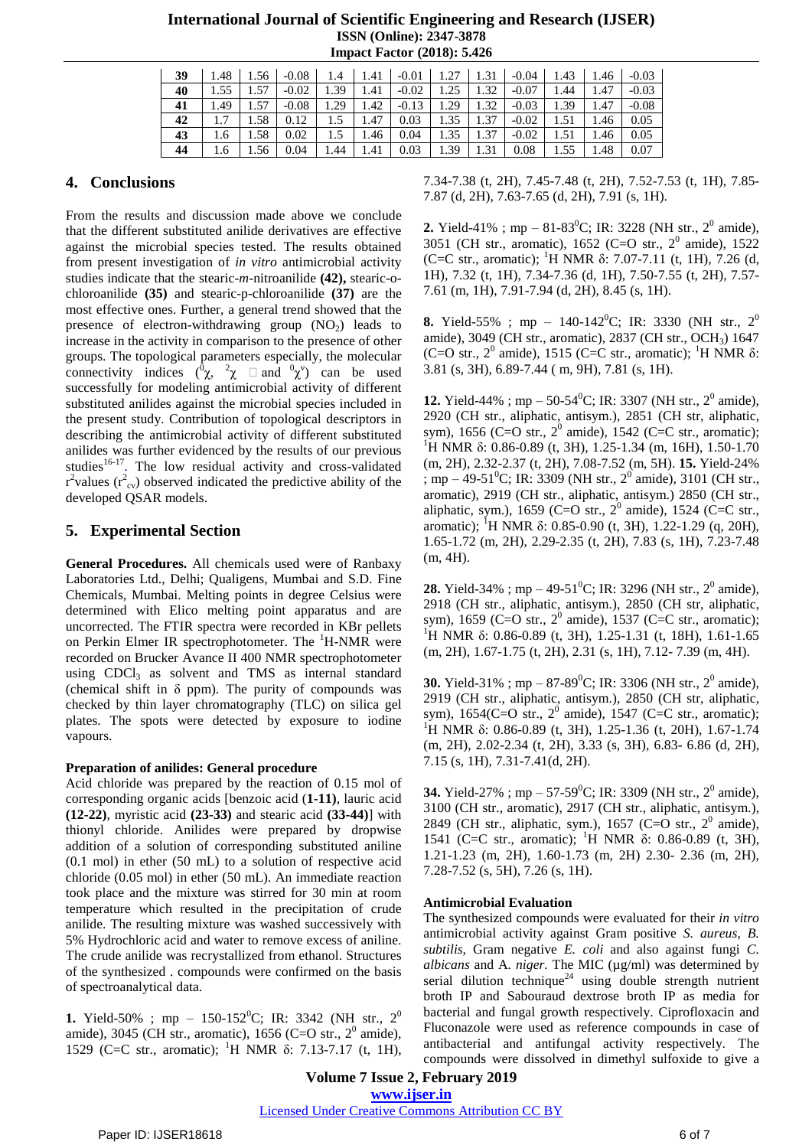| <b>International Journal of Scientific Engineering and Research (IJSER)</b> |
|-----------------------------------------------------------------------------|
| <b>ISSN</b> (Online): 2347-3878                                             |
| <b>Impact Factor (2018): 5.426</b>                                          |

| 39 |      |      |         |               |      |                                 |  | $1.48$   $1.56$   $-0.08$   $1.4$   $1.41$   $-0.01$   $1.27$   $1.31$   $-0.04$   $1.43$   $1.46$   $-0.03$ |             |                 |             |
|----|------|------|---------|---------------|------|---------------------------------|--|--------------------------------------------------------------------------------------------------------------|-------------|-----------------|-------------|
| 40 |      | 1.57 | $-0.02$ | 1.39          | 1.41 | $-0.02$   1.25   1.32   $-0.07$ |  |                                                                                                              | $1.44$ 1.47 |                 | $-0.03$     |
| 41 | 1.49 | 1.57 | $-0.08$ | 1.29          | 1.42 |                                 |  | $-0.13$   1.29   1.32   $-0.03$   1.39   1.47                                                                |             |                 | $-0.08$     |
| 42 | 17   | 1.58 | 0.12    | $1.5$ $\vert$ | 1.47 | 0.03                            |  | $1.35$ 1.37 $-0.02$ 1                                                                                        | 1.51        | 1.46            | 0.05        |
| 43 | 1.6  | 1.58 | 0.02    | $1.5^{\circ}$ | 1.46 | 0.04                            |  | $1.35$   $1.37$   $-0.02$                                                                                    | 1.51        | $1.46 \pm 0.05$ |             |
| 44 | 1.6  | 1.56 | 0.04    | 1.44          |      | $1.41 \quad 0.03$               |  | 1.39   1.31   0.08   1.55   1.48                                                                             |             |                 | $\mid$ 0.07 |

# **4. Conclusions**

From the results and discussion made above we conclude that the different substituted anilide derivatives are effective against the microbial species tested. The results obtained from present investigation of *in vitro* antimicrobial activity studies indicate that the stearic-*m*-nitroanilide **(42),** stearic-ochloroanilide **(35)** and stearic-p-chloroanilide **(37)** are the most effective ones. Further, a general trend showed that the presence of electron-withdrawing group  $(NO<sub>2</sub>)$  leads to increase in the activity in comparison to the presence of other groups. The topological parameters especially, the molecular connectivity indices  $({}^{0}\chi, {}^{2}\chi)$  and  $({}^{0}\chi^{\nu})$  can be used successfully for modeling antimicrobial activity of different substituted anilides against the microbial species included in the present study. Contribution of topological descriptors in describing the antimicrobial activity of different substituted anilides was further evidenced by the results of our previous studies<sup>16-17</sup>. The low residual activity and cross-validated  $r^2$  values ( $r^2$ <sub>cv</sub>) observed indicated the predictive ability of the developed QSAR models.

# **5. Experimental Section**

**General Procedures.** All chemicals used were of Ranbaxy Laboratories Ltd., Delhi; Qualigens, Mumbai and S.D. Fine Chemicals, Mumbai. Melting points in degree Celsius were determined with Elico melting point apparatus and are uncorrected. The FTIR spectra were recorded in KBr pellets on Perkin Elmer IR spectrophotometer. The <sup>1</sup>H-NMR were recorded on Brucker Avance II 400 NMR spectrophotometer using  $CDCl<sub>3</sub>$  as solvent and TMS as internal standard (chemical shift in  $\delta$  ppm). The purity of compounds was checked by thin layer chromatography (TLC) on silica gel plates. The spots were detected by exposure to iodine vapours.

### **Preparation of anilides: General procedure**

Acid chloride was prepared by the reaction of 0.15 mol of corresponding organic acids [benzoic acid (**1-11)**, lauric acid **(12-22)**, myristic acid **(23-33)** and stearic acid **(33-44)**] with thionyl chloride. Anilides were prepared by dropwise addition of a solution of corresponding substituted aniline (0.1 mol) in ether (50 mL) to a solution of respective acid chloride (0.05 mol) in ether (50 mL). An immediate reaction took place and the mixture was stirred for 30 min at room temperature which resulted in the precipitation of crude anilide. The resulting mixture was washed successively with 5% Hydrochloric acid and water to remove excess of aniline. The crude anilide was recrystallized from ethanol. Structures of the synthesized . compounds were confirmed on the basis of spectroanalytical data.

**1.** Yield-50%; mp – 150-152<sup>0</sup>C; IR: 3342 (NH str., 2<sup>0</sup>) amide), 3045 (CH str., aromatic), 1656 (C=O str.,  $2^0$  amide), 1529 (C=C str., aromatic); <sup>1</sup>H NMR δ: 7.13-7.17 (t, 1H), 7.34-7.38 (t, 2H), 7.45-7.48 (t, 2H), 7.52-7.53 (t, 1H), 7.85- 7.87 (d, 2H), 7.63-7.65 (d, 2H), 7.91 (s, 1H).

**2.** Yield-41%; mp – 81-83<sup>0</sup>C; IR: 3228 (NH str.,  $2^0$  amide), 3051 (CH str., aromatic), 1652 (C=O str., 2 0 amide), 1522 (C=C str., aromatic); <sup>1</sup>H NMR  $\delta$ : 7.07-7.11 (t, 1H), 7.26 (d, 1H), 7.32 (t, 1H), 7.34-7.36 (d, 1H), 7.50-7.55 (t, 2H), 7.57- 7.61 (m, 1H), 7.91-7.94 (d, 2H), 8.45 (s, 1H).

**8.** Yield-55%; mp – 140-142<sup>0</sup>C; IR: 3330 (NH str., 2<sup>0</sup>) amide), 3049 (CH str., aromatic), 2837 (CH str., OCH3) 1647 (C=O str.,  $2^0$  amide), 1515 (C=C str., aromatic); <sup>1</sup>H NMR  $\delta$ : 3.81 (s, 3H), 6.89-7.44 ( m, 9H), 7.81 (s, 1H).

**12.** Yield-44%; mp – 50-54<sup>0</sup>C; IR: 3307 (NH str., 2<sup>0</sup> amide), 2920 (CH str., aliphatic, antisym.), 2851 (CH str, aliphatic, sym), 1656 (C=O str.,  $2^0$  amide), 1542 (C=C str., aromatic); <sup>1</sup>H NMR δ: 0.86-0.89 (t, 3H), 1.25-1.34 (m, 16H), 1.50-1.70 (m, 2H), 2.32-2.37 (t, 2H), 7.08-7.52 (m, 5H). **15.** Yield-24% ; mp – 49-51<sup>°</sup>C; IR: 3309 (NH str., 2<sup>°</sup> amide), 3101 (CH str., aromatic), 2919 (CH str., aliphatic, antisym.) 2850 (CH str., aliphatic, sym.), 1659 (C=O str.,  $2^0$  amide), 1524 (C=C str., aromatic); <sup>1</sup>H NMR δ: 0.85-0.90 (t, 3H), 1.22-1.29 (q, 20H), 1.65-1.72 (m, 2H), 2.29-2.35 (t, 2H), 7.83 (s, 1H), 7.23-7.48 (m, 4H).

**28.** Yield-34%; mp – 49-51<sup>°</sup>C; IR: 3296 (NH str., 2<sup>°</sup> amide), 2918 (CH str., aliphatic, antisym.), 2850 (CH str, aliphatic, sym), 1659 (C=O str.,  $2^0$  amide), 1537 (C=C str., aromatic); <sup>1</sup>H NMR δ: 0.86-0.89 (t, 3H), 1.25-1.31 (t, 18H), 1.61-1.65 (m, 2H), 1.67-1.75 (t, 2H), 2.31 (s, 1H), 7.12- 7.39 (m, 4H).

**30.** Yield-31%; mp – 87-89<sup>0</sup>C; IR: 3306 (NH str., 2<sup>0</sup> amide), 2919 (CH str., aliphatic, antisym.), 2850 (CH str, aliphatic, sym), 1654(C=O str., 2<sup>0</sup> amide), 1547 (C=C str., aromatic); <sup>1</sup>H NMR δ: 0.86-0.89 (t, 3H), 1.25-1.36 (t, 20H), 1.67-1.74 (m, 2H), 2.02-2.34 (t, 2H), 3.33 (s, 3H), 6.83- 6.86 (d, 2H), 7.15 (s, 1H), 7.31-7.41(d, 2H).

**34.** Yield-27%; mp – 57-59<sup>0</sup>C; IR: 3309 (NH str., 2<sup>0</sup> amide), 3100 (CH str., aromatic), 2917 (CH str., aliphatic, antisym.), 2849 (CH str., aliphatic, sym.), 1657 (C=O str.,  $2^0$  amide), 1541 (C=C str., aromatic); <sup>1</sup>H NMR δ: 0.86-0.89 (t, 3H), 1.21-1.23 (m, 2H), 1.60-1.73 (m, 2H) 2.30- 2.36 (m, 2H), 7.28-7.52 (s, 5H), 7.26 (s, 1H).

### **Antimicrobial Evaluation**

The synthesized compounds were evaluated for their *in vitro* antimicrobial activity against Gram positive *S. aureus, B. subtilis,* Gram negative *E. coli* and also against fungi *C. albicans* and A*. niger.* The MIC (µg/ml) was determined by serial dilution technique<sup>24</sup> using double strength nutrient broth IP and Sabouraud dextrose broth IP as media for bacterial and fungal growth respectively. Ciprofloxacin and Fluconazole were used as reference compounds in case of antibacterial and antifungal activity respectively. The compounds were dissolved in dimethyl sulfoxide to give a